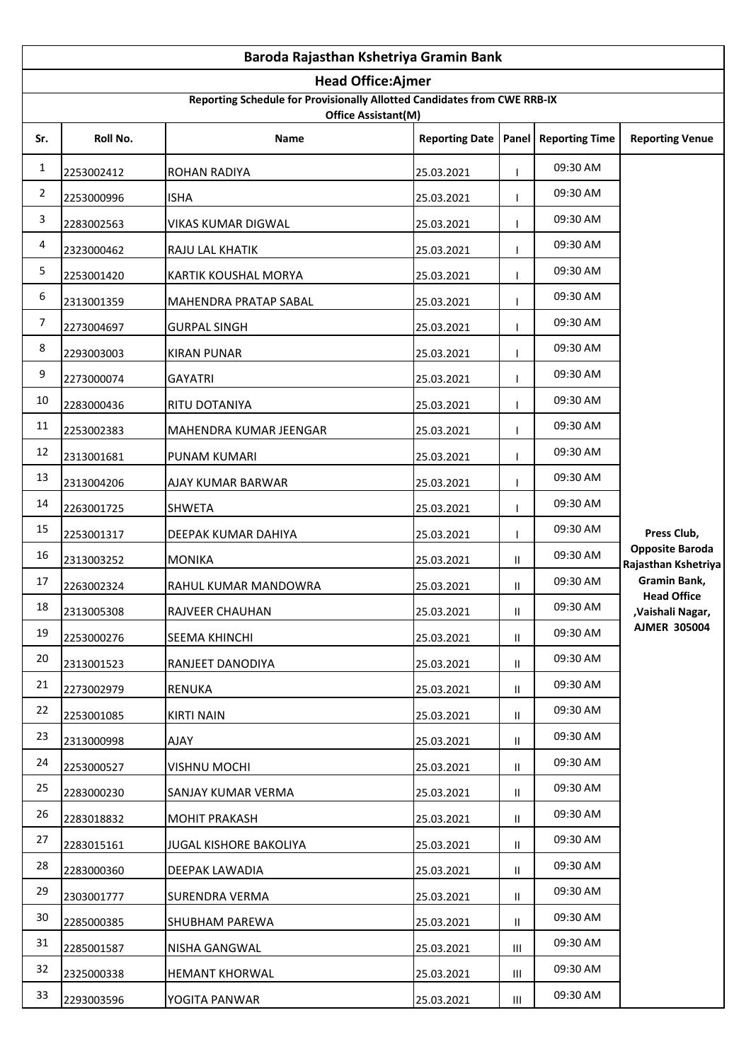| Baroda Rajasthan Kshetriya Gramin Bank |                                                                                                 |                              |                       |                 |                       |                                               |  |  |
|----------------------------------------|-------------------------------------------------------------------------------------------------|------------------------------|-----------------------|-----------------|-----------------------|-----------------------------------------------|--|--|
|                                        | <b>Head Office:Ajmer</b>                                                                        |                              |                       |                 |                       |                                               |  |  |
|                                        | Reporting Schedule for Provisionally Allotted Candidates from CWE RRB-IX<br>Office Assistant(M) |                              |                       |                 |                       |                                               |  |  |
| Sr.                                    | Roll No.                                                                                        | <b>Name</b>                  | <b>Reporting Date</b> | Panel           | <b>Reporting Time</b> | <b>Reporting Venue</b>                        |  |  |
| 1                                      | 2253002412                                                                                      | <b>ROHAN RADIYA</b>          | 25.03.2021            |                 | 09:30 AM              |                                               |  |  |
| $\overline{2}$                         | 2253000996                                                                                      | <b>ISHA</b>                  | 25.03.2021            |                 | 09:30 AM              |                                               |  |  |
| 3                                      | 2283002563                                                                                      | VIKAS KUMAR DIGWAL           | 25.03.2021            |                 | 09:30 AM              |                                               |  |  |
| 4                                      | 2323000462                                                                                      | RAJU LAL KHATIK              | 25.03.2021            |                 | 09:30 AM              |                                               |  |  |
| 5                                      | 2253001420                                                                                      | KARTIK KOUSHAL MORYA         | 25.03.2021            |                 | 09:30 AM              |                                               |  |  |
| 6                                      | 2313001359                                                                                      | <b>MAHENDRA PRATAP SABAL</b> | 25.03.2021            |                 | 09:30 AM              |                                               |  |  |
| $\boldsymbol{7}$                       | 2273004697                                                                                      | <b>GURPAL SINGH</b>          | 25.03.2021            |                 | 09:30 AM              |                                               |  |  |
| $\,8\,$                                | 2293003003                                                                                      | <b>KIRAN PUNAR</b>           | 25.03.2021            |                 | 09:30 AM              |                                               |  |  |
| $\boldsymbol{9}$                       | 2273000074                                                                                      | <b>GAYATRI</b>               | 25.03.2021            |                 | 09:30 AM              |                                               |  |  |
| 10                                     | 2283000436                                                                                      | RITU DOTANIYA                | 25.03.2021            |                 | 09:30 AM              |                                               |  |  |
| 11                                     | 2253002383                                                                                      | MAHENDRA KUMAR JEENGAR       | 25.03.2021            |                 | 09:30 AM              |                                               |  |  |
| 12                                     | 2313001681                                                                                      | PUNAM KUMARI                 | 25.03.2021            |                 | 09:30 AM              |                                               |  |  |
| 13                                     | 2313004206                                                                                      | AJAY KUMAR BARWAR            | 25.03.2021            |                 | 09:30 AM              |                                               |  |  |
| 14                                     | 2263001725                                                                                      | <b>SHWETA</b>                | 25.03.2021            |                 | 09:30 AM              |                                               |  |  |
| 15                                     | 2253001317                                                                                      | DEEPAK KUMAR DAHIYA          | 25.03.2021            |                 | 09:30 AM              | Press Club,                                   |  |  |
| 16                                     | 2313003252                                                                                      | <b>MONIKA</b>                | 25.03.2021            | $\mathbf{II}$   | 09:30 AM              | <b>Opposite Baroda</b><br>Rajasthan Kshetriya |  |  |
| 17                                     | 2263002324                                                                                      | RAHUL KUMAR MANDOWRA         | 25.03.2021            | Ш               | 09:30 AM              | Gramin Bank,                                  |  |  |
| 18                                     | 2313005308                                                                                      | RAJVEER CHAUHAN              | 25.03.2021            | $\mathsf{II}^-$ | 09:30 AM              | <b>Head Office</b><br>,Vaishali Nagar,        |  |  |
| 19                                     | 2253000276                                                                                      | SEEMA KHINCHI                | 25.03.2021            | Ш.              | 09:30 AM              | <b>AJMER 305004</b>                           |  |  |
| 20                                     | 2313001523                                                                                      | RANJEET DANODIYA             | 25.03.2021            | Ш.              | 09:30 AM              |                                               |  |  |
| 21                                     | 2273002979                                                                                      | <b>RENUKA</b>                | 25.03.2021            | $\mathbf{II}$   | 09:30 AM              |                                               |  |  |
| 22                                     | 2253001085                                                                                      | <b>KIRTI NAIN</b>            | 25.03.2021            | Ш.              | 09:30 AM              |                                               |  |  |
| 23                                     | 2313000998                                                                                      | <b>AJAY</b>                  | 25.03.2021            | Ш.              | 09:30 AM              |                                               |  |  |
| 24                                     | 2253000527                                                                                      | <b>VISHNU MOCHI</b>          | 25.03.2021            | $\mathbf{H}$    | 09:30 AM              |                                               |  |  |
| 25                                     | 2283000230                                                                                      | SANJAY KUMAR VERMA           | 25.03.2021            | Ш.              | 09:30 AM              |                                               |  |  |
| 26                                     | 2283018832                                                                                      | <b>MOHIT PRAKASH</b>         | 25.03.2021            | Ш.              | 09:30 AM              |                                               |  |  |
| 27                                     | 2283015161                                                                                      | JUGAL KISHORE BAKOLIYA       | 25.03.2021            | Ш.              | 09:30 AM              |                                               |  |  |
| 28                                     | 2283000360                                                                                      | DEEPAK LAWADIA               | 25.03.2021            | Ш.              | 09:30 AM              |                                               |  |  |
| 29                                     | 2303001777                                                                                      | SURENDRA VERMA               | 25.03.2021            | $\mathbf{II}$   | 09:30 AM              |                                               |  |  |
| 30                                     | 2285000385                                                                                      | <b>SHUBHAM PAREWA</b>        | 25.03.2021            | Ш.              | 09:30 AM              |                                               |  |  |
| 31                                     | 2285001587                                                                                      | NISHA GANGWAL                | 25.03.2021            | Ш               | 09:30 AM              |                                               |  |  |
| 32                                     | 2325000338                                                                                      | <b>HEMANT KHORWAL</b>        | 25.03.2021            | Ш               | 09:30 AM              |                                               |  |  |
| 33                                     | 2293003596                                                                                      | YOGITA PANWAR                | 25.03.2021            | Ш               | 09:30 AM              |                                               |  |  |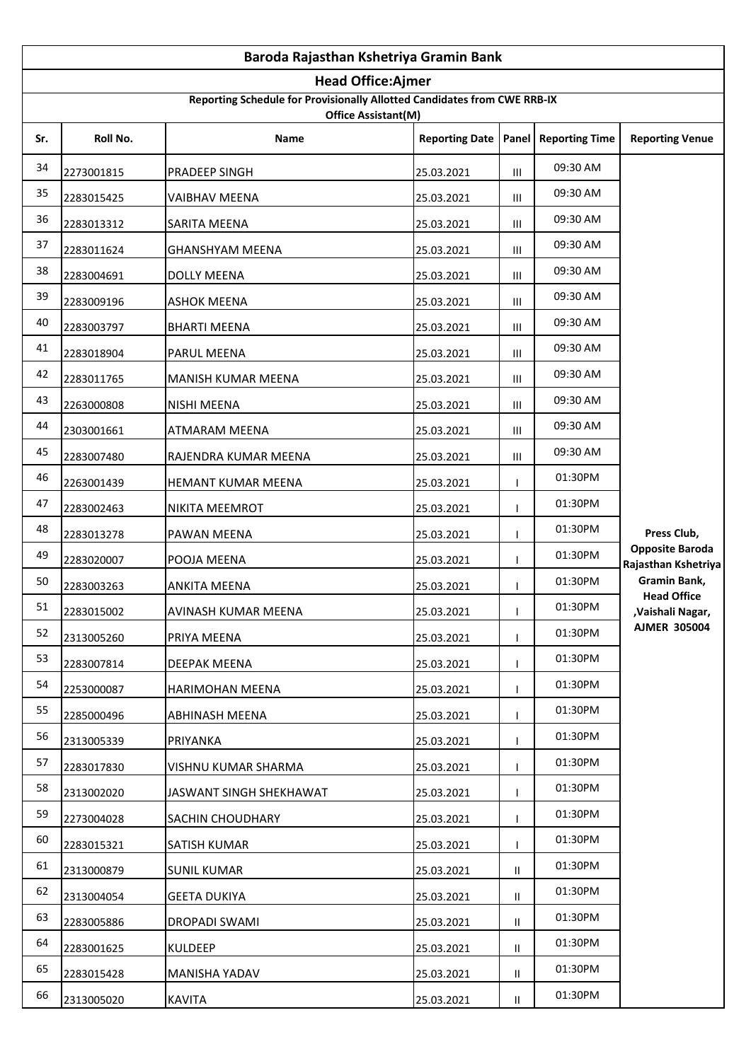|     | Baroda Rajasthan Kshetriya Gramin Bank                                                          |                          |                       |                |                       |                                               |  |  |
|-----|-------------------------------------------------------------------------------------------------|--------------------------|-----------------------|----------------|-----------------------|-----------------------------------------------|--|--|
|     |                                                                                                 | <b>Head Office:Ajmer</b> |                       |                |                       |                                               |  |  |
|     | Reporting Schedule for Provisionally Allotted Candidates from CWE RRB-IX<br>Office Assistant(M) |                          |                       |                |                       |                                               |  |  |
| Sr. | Roll No.                                                                                        | Name                     | <b>Reporting Date</b> | Panel          | <b>Reporting Time</b> | <b>Reporting Venue</b>                        |  |  |
| 34  | 2273001815                                                                                      | PRADEEP SINGH            | 25.03.2021            | Ш              | 09:30 AM              |                                               |  |  |
| 35  | 2283015425                                                                                      | <b>VAIBHAV MEENA</b>     | 25.03.2021            | Ш              | 09:30 AM              |                                               |  |  |
| 36  | 2283013312                                                                                      | SARITA MEENA             | 25.03.2021            | Ш              | 09:30 AM              |                                               |  |  |
| 37  | 2283011624                                                                                      | <b>GHANSHYAM MEENA</b>   | 25.03.2021            | Ш              | 09:30 AM              |                                               |  |  |
| 38  | 2283004691                                                                                      | <b>DOLLY MEENA</b>       | 25.03.2021            | Ш              | 09:30 AM              |                                               |  |  |
| 39  | 2283009196                                                                                      | <b>ASHOK MEENA</b>       | 25.03.2021            | Ш              | 09:30 AM              |                                               |  |  |
| 40  | 2283003797                                                                                      | <b>BHARTI MEENA</b>      | 25.03.2021            | Ш              | 09:30 AM              |                                               |  |  |
| 41  | 2283018904                                                                                      | PARUL MEENA              | 25.03.2021            | Ш              | 09:30 AM              |                                               |  |  |
| 42  | 2283011765                                                                                      | MANISH KUMAR MEENA       | 25.03.2021            | Ш              | 09:30 AM              |                                               |  |  |
| 43  | 2263000808                                                                                      | <b>NISHI MEENA</b>       | 25.03.2021            | $\mathbf{III}$ | 09:30 AM              |                                               |  |  |
| 44  | 2303001661                                                                                      | ATMARAM MEENA            | 25.03.2021            | Ш              | 09:30 AM              |                                               |  |  |
| 45  | 2283007480                                                                                      | RAJENDRA KUMAR MEENA     | 25.03.2021            | Ш              | 09:30 AM              |                                               |  |  |
| 46  | 2263001439                                                                                      | HEMANT KUMAR MEENA       | 25.03.2021            |                | 01:30PM               |                                               |  |  |
| 47  | 2283002463                                                                                      | NIKITA MEEMROT           | 25.03.2021            |                | 01:30PM               |                                               |  |  |
| 48  | 2283013278                                                                                      | PAWAN MEENA              | 25.03.2021            |                | 01:30PM               | Press Club,                                   |  |  |
| 49  | 2283020007                                                                                      | POOJA MEENA              | 25.03.2021            |                | 01:30PM               | <b>Opposite Baroda</b><br>Rajasthan Kshetriya |  |  |
| 50  | 2283003263                                                                                      | <b>ANKITA MEENA</b>      | 25.03.2021            |                | 01:30PM               | Gramin Bank,<br><b>Head Office</b>            |  |  |
| 51  | 2283015002                                                                                      | AVINASH KUMAR MEENA      | 25.03.2021            | J.             | 01:30PM               | ,Vaishali Nagar,                              |  |  |
| 52  | 2313005260                                                                                      | PRIYA MEENA              | 25.03.2021            |                | 01:30PM               | <b>AJMER 305004</b>                           |  |  |
| 53  | 2283007814                                                                                      | DEEPAK MEENA             | 25.03.2021            |                | 01:30PM               |                                               |  |  |
| 54  | 2253000087                                                                                      | <b>HARIMOHAN MEENA</b>   | 25.03.2021            |                | 01:30PM               |                                               |  |  |
| 55  | 2285000496                                                                                      | ABHINASH MEENA           | 25.03.2021            |                | 01:30PM               |                                               |  |  |
| 56  | 2313005339                                                                                      | PRIYANKA                 | 25.03.2021            |                | 01:30PM               |                                               |  |  |
| 57  | 2283017830                                                                                      | VISHNU KUMAR SHARMA      | 25.03.2021            |                | 01:30PM               |                                               |  |  |
| 58  | 2313002020                                                                                      | JASWANT SINGH SHEKHAWAT  | 25.03.2021            |                | 01:30PM               |                                               |  |  |
| 59  | 2273004028                                                                                      | <b>SACHIN CHOUDHARY</b>  | 25.03.2021            |                | 01:30PM               |                                               |  |  |
| 60  | 2283015321                                                                                      | SATISH KUMAR             | 25.03.2021            |                | 01:30PM               |                                               |  |  |
| 61  | 2313000879                                                                                      | <b>SUNIL KUMAR</b>       | 25.03.2021            | Ш.             | 01:30PM               |                                               |  |  |
| 62  | 2313004054                                                                                      | <b>GEETA DUKIYA</b>      | 25.03.2021            | $\mathbf{II}$  | 01:30PM               |                                               |  |  |
| 63  | 2283005886                                                                                      | DROPADI SWAMI            | 25.03.2021            | $\mathbf{II}$  | 01:30PM               |                                               |  |  |
| 64  | 2283001625                                                                                      | <b>KULDEEP</b>           | 25.03.2021            | Ш.             | 01:30PM               |                                               |  |  |
| 65  | 2283015428                                                                                      | MANISHA YADAV            | 25.03.2021            | Ш.             | 01:30PM               |                                               |  |  |
| 66  | 2313005020                                                                                      | <b>KAVITA</b>            | 25.03.2021            | $\mathbf{II}$  | 01:30PM               |                                               |  |  |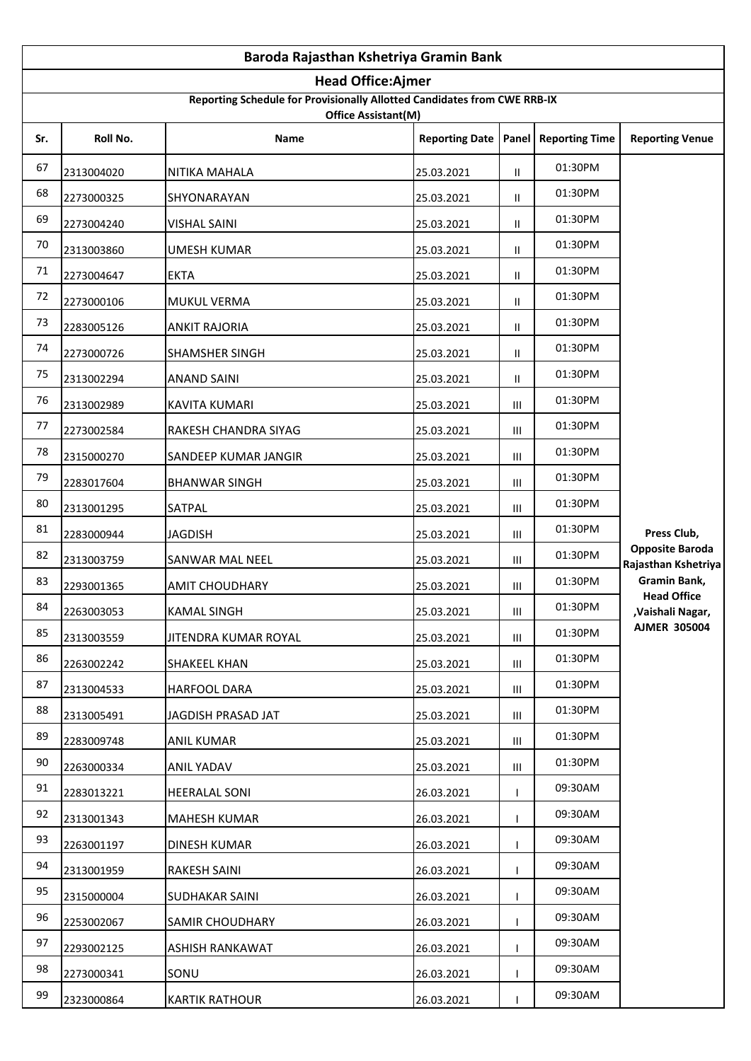|     | Baroda Rajasthan Kshetriya Gramin Bank                                                          |                        |                       |                                    |                       |                                               |  |  |
|-----|-------------------------------------------------------------------------------------------------|------------------------|-----------------------|------------------------------------|-----------------------|-----------------------------------------------|--|--|
|     | <b>Head Office:Ajmer</b>                                                                        |                        |                       |                                    |                       |                                               |  |  |
|     | Reporting Schedule for Provisionally Allotted Candidates from CWE RRB-IX<br>Office Assistant(M) |                        |                       |                                    |                       |                                               |  |  |
| Sr. | Roll No.                                                                                        | <b>Name</b>            | <b>Reporting Date</b> | Panel                              | <b>Reporting Time</b> | <b>Reporting Venue</b>                        |  |  |
| 67  | 2313004020                                                                                      | NITIKA MAHALA          | 25.03.2021            | Ш.                                 | 01:30PM               |                                               |  |  |
| 68  | 2273000325                                                                                      | SHYONARAYAN            | 25.03.2021            | Ш                                  | 01:30PM               |                                               |  |  |
| 69  | 2273004240                                                                                      | <b>VISHAL SAINI</b>    | 25.03.2021            | Ш                                  | 01:30PM               |                                               |  |  |
| 70  | 2313003860                                                                                      | UMESH KUMAR            | 25.03.2021            | $\mathbf{II}$                      | 01:30PM               |                                               |  |  |
| 71  | 2273004647                                                                                      | <b>EKTA</b>            | 25.03.2021            | Ш                                  | 01:30PM               |                                               |  |  |
| 72  | 2273000106                                                                                      | MUKUL VERMA            | 25.03.2021            | $\mathbf{II}$                      | 01:30PM               |                                               |  |  |
| 73  | 2283005126                                                                                      | ANKIT RAJORIA          | 25.03.2021            | Ш                                  | 01:30PM               |                                               |  |  |
| 74  | 2273000726                                                                                      | SHAMSHER SINGH         | 25.03.2021            | $\mathbf{II}$                      | 01:30PM               |                                               |  |  |
| 75  | 2313002294                                                                                      | <b>ANAND SAINI</b>     | 25.03.2021            | Ш                                  | 01:30PM               |                                               |  |  |
| 76  | 2313002989                                                                                      | <b>KAVITA KUMARI</b>   | 25.03.2021            | Ш                                  | 01:30PM               |                                               |  |  |
| 77  | 2273002584                                                                                      | RAKESH CHANDRA SIYAG   | 25.03.2021            | Ш                                  | 01:30PM               |                                               |  |  |
| 78  | 2315000270                                                                                      | SANDEEP KUMAR JANGIR   | 25.03.2021            | Ш                                  | 01:30PM               |                                               |  |  |
| 79  | 2283017604                                                                                      | <b>BHANWAR SINGH</b>   | 25.03.2021            | Ш                                  | 01:30PM               |                                               |  |  |
| 80  | 2313001295                                                                                      | SATPAL                 | 25.03.2021            | Ш                                  | 01:30PM               |                                               |  |  |
| 81  | 2283000944                                                                                      | <b>JAGDISH</b>         | 25.03.2021            | Ш                                  | 01:30PM               | Press Club,                                   |  |  |
| 82  | 2313003759                                                                                      | SANWAR MAL NEEL        | 25.03.2021            | Ш                                  | 01:30PM               | <b>Opposite Baroda</b><br>Rajasthan Kshetriya |  |  |
| 83  | 2293001365                                                                                      | <b>AMIT CHOUDHARY</b>  | 25.03.2021            | Ш                                  | 01:30PM               | Gramin Bank,<br><b>Head Office</b>            |  |  |
| 84  | 2263003053                                                                                      | <b>KAMAL SINGH</b>     | 25.03.2021            | $\ensuremath{\mathsf{III}}\xspace$ | 01:30PM               | ,Vaishali Nagar,                              |  |  |
| 85  | 2313003559                                                                                      | JITENDRA KUMAR ROYAL   | 25.03.2021            | Ш                                  | 01:30PM               | <b>AJMER 305004</b>                           |  |  |
| 86  | 2263002242                                                                                      | <b>SHAKEEL KHAN</b>    | 25.03.2021            | Ш                                  | 01:30PM               |                                               |  |  |
| 87  | 2313004533                                                                                      | <b>HARFOOL DARA</b>    | 25.03.2021            | Ш                                  | 01:30PM               |                                               |  |  |
| 88  | 2313005491                                                                                      | JAGDISH PRASAD JAT     | 25.03.2021            | Ш                                  | 01:30PM               |                                               |  |  |
| 89  | 2283009748                                                                                      | <b>ANIL KUMAR</b>      | 25.03.2021            | Ш                                  | 01:30PM               |                                               |  |  |
| 90  | 2263000334                                                                                      | ANIL YADAV             | 25.03.2021            | Ш                                  | 01:30PM               |                                               |  |  |
| 91  | 2283013221                                                                                      | <b>HEERALAL SONI</b>   | 26.03.2021            |                                    | 09:30AM               |                                               |  |  |
| 92  | 2313001343                                                                                      | MAHESH KUMAR           | 26.03.2021            |                                    | 09:30AM               |                                               |  |  |
| 93  | 2263001197                                                                                      | DINESH KUMAR           | 26.03.2021            |                                    | 09:30AM               |                                               |  |  |
| 94  | 2313001959                                                                                      | RAKESH SAINI           | 26.03.2021            |                                    | 09:30AM               |                                               |  |  |
| 95  | 2315000004                                                                                      | <b>SUDHAKAR SAINI</b>  | 26.03.2021            |                                    | 09:30AM               |                                               |  |  |
| 96  | 2253002067                                                                                      | <b>SAMIR CHOUDHARY</b> | 26.03.2021            |                                    | 09:30AM               |                                               |  |  |
| 97  | 2293002125                                                                                      | ASHISH RANKAWAT        | 26.03.2021            |                                    | 09:30AM               |                                               |  |  |
| 98  | 2273000341                                                                                      | SONU                   | 26.03.2021            |                                    | 09:30AM               |                                               |  |  |
| 99  | 2323000864                                                                                      | <b>KARTIK RATHOUR</b>  | 26.03.2021            |                                    | 09:30AM               |                                               |  |  |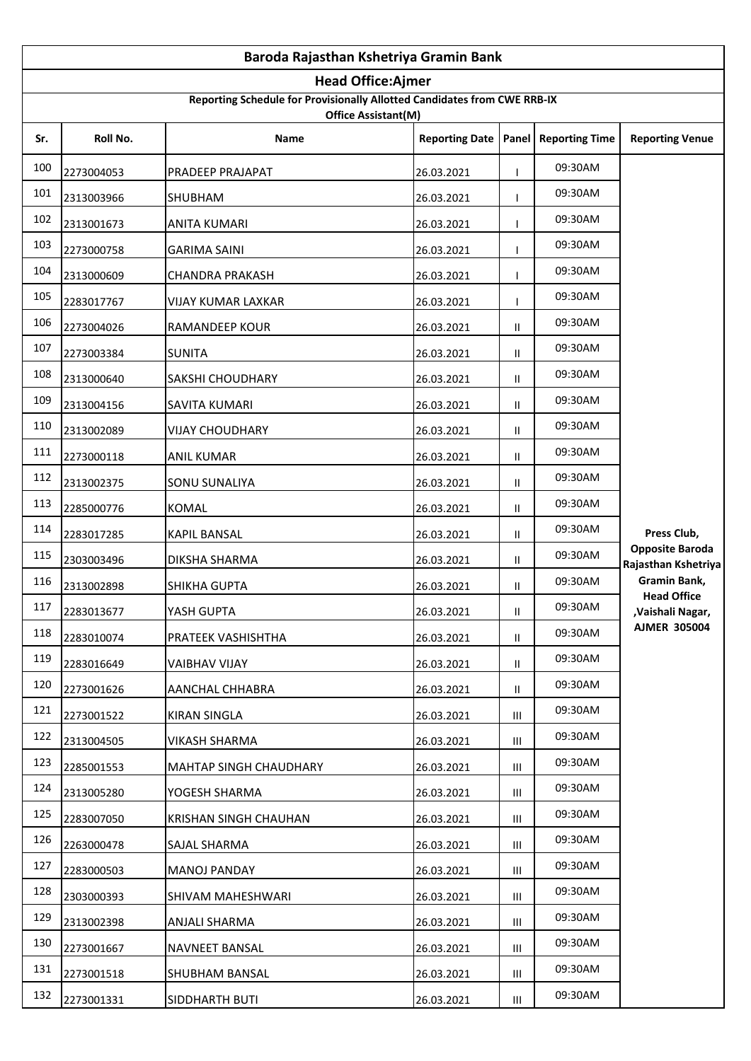|     | Baroda Rajasthan Kshetriya Gramin Bank                                                                |                               |            |               |         |                                               |  |  |  |
|-----|-------------------------------------------------------------------------------------------------------|-------------------------------|------------|---------------|---------|-----------------------------------------------|--|--|--|
|     | <b>Head Office:Ajmer</b>                                                                              |                               |            |               |         |                                               |  |  |  |
|     | Reporting Schedule for Provisionally Allotted Candidates from CWE RRB-IX<br>Office Assistant(M)       |                               |            |               |         |                                               |  |  |  |
| Sr. | Roll No.<br><b>Reporting Date</b><br>Panel<br><b>Reporting Time</b><br><b>Reporting Venue</b><br>Name |                               |            |               |         |                                               |  |  |  |
| 100 | 2273004053                                                                                            | PRADEEP PRAJAPAT              | 26.03.2021 |               | 09:30AM |                                               |  |  |  |
| 101 | 2313003966                                                                                            | SHUBHAM                       | 26.03.2021 |               | 09:30AM |                                               |  |  |  |
| 102 | 2313001673                                                                                            | <b>ANITA KUMARI</b>           | 26.03.2021 |               | 09:30AM |                                               |  |  |  |
| 103 | 2273000758                                                                                            | <b>GARIMA SAINI</b>           | 26.03.2021 |               | 09:30AM |                                               |  |  |  |
| 104 | 2313000609                                                                                            | CHANDRA PRAKASH               | 26.03.2021 |               | 09:30AM |                                               |  |  |  |
| 105 | 2283017767                                                                                            | VIJAY KUMAR LAXKAR            | 26.03.2021 |               | 09:30AM |                                               |  |  |  |
| 106 | 2273004026                                                                                            | RAMANDEEP KOUR                | 26.03.2021 | Ш             | 09:30AM |                                               |  |  |  |
| 107 | 2273003384                                                                                            | <b>SUNITA</b>                 | 26.03.2021 | Ш             | 09:30AM |                                               |  |  |  |
| 108 | 2313000640                                                                                            | SAKSHI CHOUDHARY              | 26.03.2021 | Ш             | 09:30AM |                                               |  |  |  |
| 109 | 2313004156                                                                                            | SAVITA KUMARI                 | 26.03.2021 | $\mathbf{II}$ | 09:30AM |                                               |  |  |  |
| 110 | 2313002089                                                                                            | <b>VIJAY CHOUDHARY</b>        | 26.03.2021 | $\mathbf{H}$  | 09:30AM |                                               |  |  |  |
| 111 | 2273000118                                                                                            | <b>ANIL KUMAR</b>             | 26.03.2021 | $\mathbf{H}$  | 09:30AM |                                               |  |  |  |
| 112 | 2313002375                                                                                            | SONU SUNALIYA                 | 26.03.2021 | $\mathbf{H}$  | 09:30AM |                                               |  |  |  |
| 113 | 2285000776                                                                                            | <b>KOMAL</b>                  | 26.03.2021 | Ш             | 09:30AM |                                               |  |  |  |
| 114 | 2283017285                                                                                            | <b>KAPIL BANSAL</b>           | 26.03.2021 | Ш             | 09:30AM | Press Club,                                   |  |  |  |
| 115 | 2303003496                                                                                            | DIKSHA SHARMA                 | 26.03.2021 | Ш             | 09:30AM | <b>Opposite Baroda</b><br>Rajasthan Kshetriya |  |  |  |
| 116 | 2313002898                                                                                            | <b>SHIKHA GUPTA</b>           | 26.03.2021 | Ш             | 09:30AM | Gramin Bank,                                  |  |  |  |
| 117 | 2283013677                                                                                            | YASH GUPTA                    | 26.03.2021 | $\mathbf H$   | 09:30AM | <b>Head Office</b><br>,Vaishali Nagar,        |  |  |  |
| 118 | 2283010074                                                                                            | PRATEEK VASHISHTHA            | 26.03.2021 | Ш.            | 09:30AM | <b>AJMER 305004</b>                           |  |  |  |
| 119 | 2283016649                                                                                            | <b>VAIBHAV VIJAY</b>          | 26.03.2021 | Ш.            | 09:30AM |                                               |  |  |  |
| 120 | 2273001626                                                                                            | AANCHAL CHHABRA               | 26.03.2021 | Ш.            | 09:30AM |                                               |  |  |  |
| 121 | 2273001522                                                                                            | <b>KIRAN SINGLA</b>           | 26.03.2021 | Ш             | 09:30AM |                                               |  |  |  |
| 122 | 2313004505                                                                                            | VIKASH SHARMA                 | 26.03.2021 | Ш             | 09:30AM |                                               |  |  |  |
| 123 | 2285001553                                                                                            | <b>MAHTAP SINGH CHAUDHARY</b> | 26.03.2021 | Ш             | 09:30AM |                                               |  |  |  |
| 124 | 2313005280                                                                                            | YOGESH SHARMA                 | 26.03.2021 | Ш             | 09:30AM |                                               |  |  |  |
| 125 | 2283007050                                                                                            | KRISHAN SINGH CHAUHAN         | 26.03.2021 | Ш             | 09:30AM |                                               |  |  |  |
| 126 | 2263000478                                                                                            | SAJAL SHARMA                  | 26.03.2021 | ШL            | 09:30AM |                                               |  |  |  |
| 127 | 2283000503                                                                                            | <b>MANOJ PANDAY</b>           | 26.03.2021 | Ш             | 09:30AM |                                               |  |  |  |
| 128 | 2303000393                                                                                            | SHIVAM MAHESHWARI             | 26.03.2021 | Ш             | 09:30AM |                                               |  |  |  |
| 129 | 2313002398                                                                                            | ANJALI SHARMA                 | 26.03.2021 | Ш             | 09:30AM |                                               |  |  |  |
| 130 | 2273001667                                                                                            | NAVNEET BANSAL                | 26.03.2021 | Ш             | 09:30AM |                                               |  |  |  |
| 131 | 2273001518                                                                                            | SHUBHAM BANSAL                | 26.03.2021 | Ш             | 09:30AM |                                               |  |  |  |
| 132 | 2273001331                                                                                            | SIDDHARTH BUTI                | 26.03.2021 | Ш             | 09:30AM |                                               |  |  |  |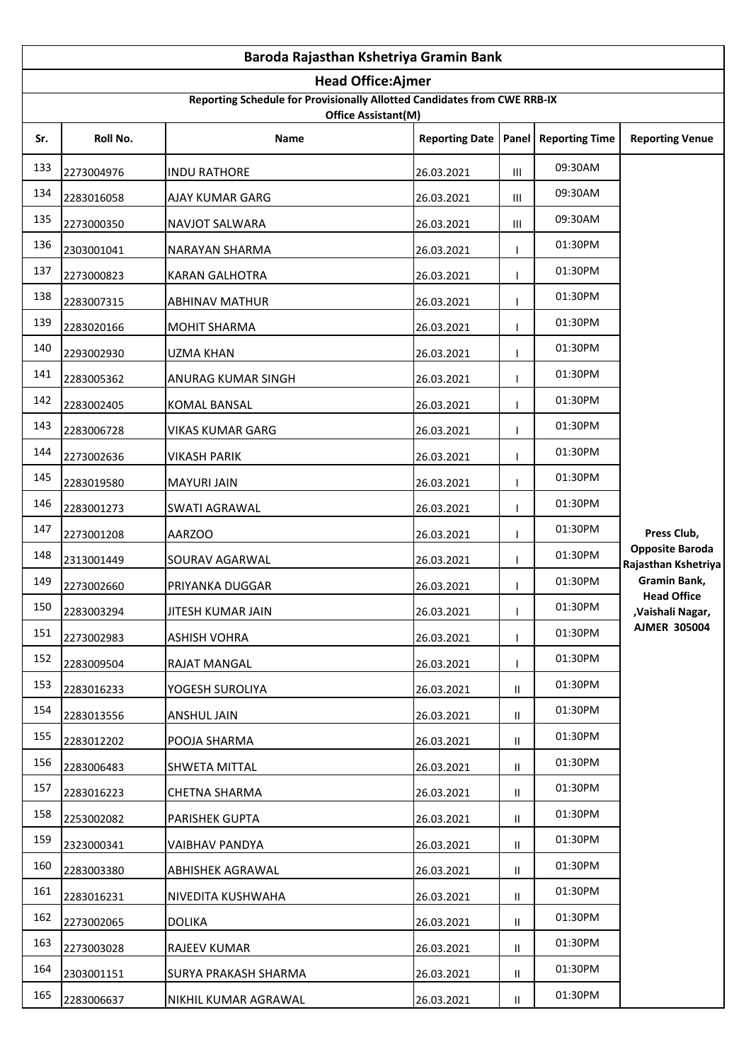|     | Baroda Rajasthan Kshetriya Gramin Bank                                                                |                       |            |               |         |                                               |  |  |  |
|-----|-------------------------------------------------------------------------------------------------------|-----------------------|------------|---------------|---------|-----------------------------------------------|--|--|--|
|     | <b>Head Office:Ajmer</b>                                                                              |                       |            |               |         |                                               |  |  |  |
|     | Reporting Schedule for Provisionally Allotted Candidates from CWE RRB-IX<br>Office Assistant(M)       |                       |            |               |         |                                               |  |  |  |
| Sr. | Roll No.<br><b>Reporting Date</b><br>Panel<br><b>Reporting Time</b><br><b>Reporting Venue</b><br>Name |                       |            |               |         |                                               |  |  |  |
| 133 | 2273004976                                                                                            | <b>INDU RATHORE</b>   | 26.03.2021 | Ш             | 09:30AM |                                               |  |  |  |
| 134 | 2283016058                                                                                            | AJAY KUMAR GARG       | 26.03.2021 | Ш             | 09:30AM |                                               |  |  |  |
| 135 | 2273000350                                                                                            | NAVJOT SALWARA        | 26.03.2021 | Ш             | 09:30AM |                                               |  |  |  |
| 136 | 2303001041                                                                                            | NARAYAN SHARMA        | 26.03.2021 |               | 01:30PM |                                               |  |  |  |
| 137 | 2273000823                                                                                            | <b>KARAN GALHOTRA</b> | 26.03.2021 |               | 01:30PM |                                               |  |  |  |
| 138 | 2283007315                                                                                            | <b>ABHINAV MATHUR</b> | 26.03.2021 |               | 01:30PM |                                               |  |  |  |
| 139 | 2283020166                                                                                            | <b>MOHIT SHARMA</b>   | 26.03.2021 |               | 01:30PM |                                               |  |  |  |
| 140 | 2293002930                                                                                            | <b>UZMA KHAN</b>      | 26.03.2021 |               | 01:30PM |                                               |  |  |  |
| 141 | 2283005362                                                                                            | ANURAG KUMAR SINGH    | 26.03.2021 |               | 01:30PM |                                               |  |  |  |
| 142 | 2283002405                                                                                            | <b>KOMAL BANSAL</b>   | 26.03.2021 |               | 01:30PM |                                               |  |  |  |
| 143 | 2283006728                                                                                            | VIKAS KUMAR GARG      | 26.03.2021 |               | 01:30PM |                                               |  |  |  |
| 144 | 2273002636                                                                                            | VIKASH PARIK          | 26.03.2021 |               | 01:30PM |                                               |  |  |  |
| 145 | 2283019580                                                                                            | <b>MAYURI JAIN</b>    | 26.03.2021 |               | 01:30PM |                                               |  |  |  |
| 146 | 2283001273                                                                                            | SWATI AGRAWAL         | 26.03.2021 |               | 01:30PM |                                               |  |  |  |
| 147 | 2273001208                                                                                            | <b>AARZOO</b>         | 26.03.2021 |               | 01:30PM | Press Club,                                   |  |  |  |
| 148 | 2313001449                                                                                            | SOURAV AGARWAL        | 26.03.2021 |               | 01:30PM | <b>Opposite Baroda</b><br>Rajasthan Kshetriya |  |  |  |
| 149 | 2273002660                                                                                            | PRIYANKA DUGGAR       | 26.03.2021 |               | 01:30PM | Gramin Bank,<br><b>Head Office</b>            |  |  |  |
| 150 | 2283003294                                                                                            | JITESH KUMAR JAIN     | 26.03.2021 | I.            | 01:30PM | ,Vaishali Nagar,                              |  |  |  |
| 151 | 2273002983                                                                                            | ASHISH VOHRA          | 26.03.2021 |               | 01:30PM | <b>AJMER 305004</b>                           |  |  |  |
| 152 | 2283009504                                                                                            | RAJAT MANGAL          | 26.03.2021 |               | 01:30PM |                                               |  |  |  |
| 153 | 2283016233                                                                                            | YOGESH SUROLIYA       | 26.03.2021 | Ш.            | 01:30PM |                                               |  |  |  |
| 154 | 2283013556                                                                                            | ANSHUL JAIN           | 26.03.2021 | $\mathbf{II}$ | 01:30PM |                                               |  |  |  |
| 155 | 2283012202                                                                                            | POOJA SHARMA          | 26.03.2021 | $\mathbf{II}$ | 01:30PM |                                               |  |  |  |
| 156 | 2283006483                                                                                            | SHWETA MITTAL         | 26.03.2021 | Ш.            | 01:30PM |                                               |  |  |  |
| 157 | 2283016223                                                                                            | <b>CHETNA SHARMA</b>  | 26.03.2021 | $\mathbf{II}$ | 01:30PM |                                               |  |  |  |
| 158 | 2253002082                                                                                            | PARISHEK GUPTA        | 26.03.2021 | Ш.            | 01:30PM |                                               |  |  |  |
| 159 | 2323000341                                                                                            | VAIBHAV PANDYA        | 26.03.2021 | Ш.            | 01:30PM |                                               |  |  |  |
| 160 | 2283003380                                                                                            | ABHISHEK AGRAWAL      | 26.03.2021 | Ш.            | 01:30PM |                                               |  |  |  |
| 161 | 2283016231                                                                                            | NIVEDITA KUSHWAHA     | 26.03.2021 | $\mathbf{II}$ | 01:30PM |                                               |  |  |  |
| 162 | 2273002065                                                                                            | <b>DOLIKA</b>         | 26.03.2021 | $\mathbf{II}$ | 01:30PM |                                               |  |  |  |
| 163 | 2273003028                                                                                            | RAJEEV KUMAR          | 26.03.2021 | Ш.            | 01:30PM |                                               |  |  |  |
| 164 | 2303001151                                                                                            | SURYA PRAKASH SHARMA  | 26.03.2021 | Ш.            | 01:30PM |                                               |  |  |  |
| 165 | 2283006637                                                                                            | NIKHIL KUMAR AGRAWAL  | 26.03.2021 | Ш.            | 01:30PM |                                               |  |  |  |